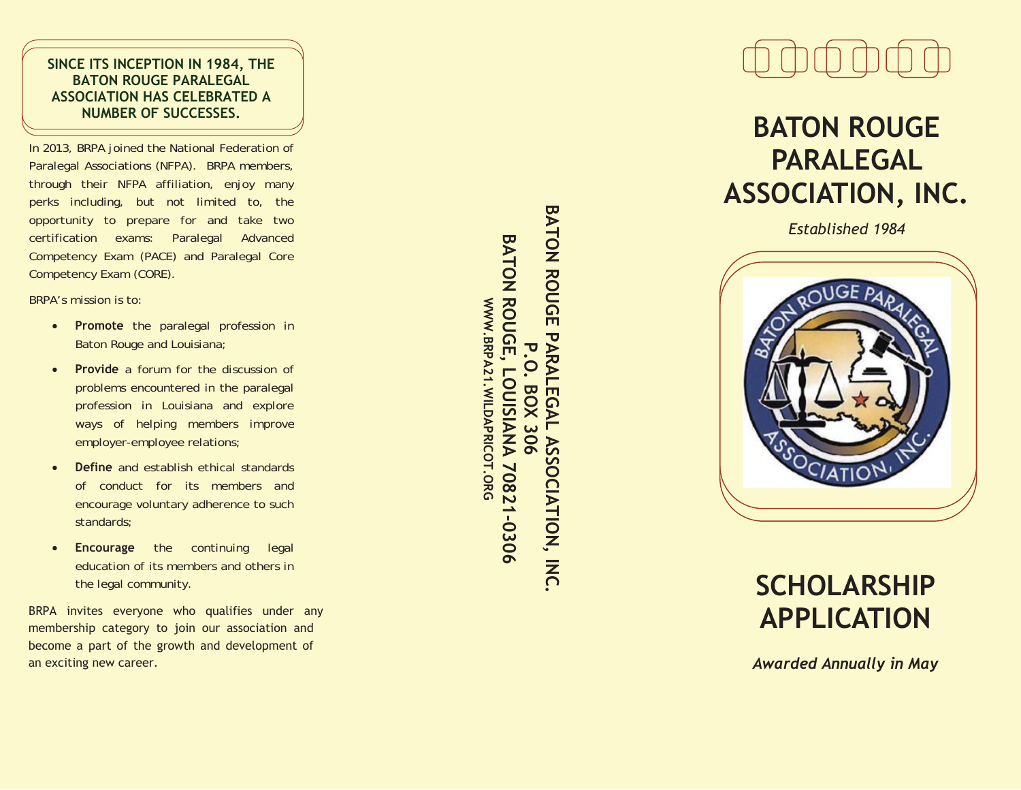### **SINCE ITS INCEPTION IN 1984, THE BATON ROUGE PARALEGAL ASSOCIATION HAS CELEBRATED A NUMBER OF SUCCESSES.**

In 2013, BRPA joined the National Federation of Paralegal Associations (NFPA). BRPA members, through their NFPA affiliation, enjoy many perks including, but not limited to, the opportunity to prepare for and take two certification exams: Paralegal Advanced Competency Exam (PACE) and Paralegal Core Competency Exam (CORE).

BRPA's mission is to:

- **Promote** the paralegal profession in Baton Rouge and Louisiana;
- $\bullet$  **Provide** a forum for the discussion of problems encountered in the paralegal profession in Louisiana and explore ways of helping members improve employer-employee relations;
- $\bullet$  **Define** and establish ethical standards of conduct for its members and encourage voluntary adherence to such standards;
- $\bullet$ **Encourage** the continuing legal education of its members and others in the legal community.

BRPA invites everyone who qualifies under any membership category to join our association and become a part of the growth and development of an exciting new career.

BATON ROUGE PARAL **BATON ROUGE PARALEGAL ASSOCIATION, INC. BATON ROUGE BATON ROUGE, LOUISIANA 70821-0306**  WWW.BRPA21.WILDAPRICOT.ORG **WWW.BRPA21.WILDAPRICOT.ORGP.O. BOX 306**  LOUISIANA 70821-0306 **LEGAL BOX** 306 **ASSOCIATION, INC** 



# **BATON ROUGE PARALEGAL ASSOCIATION, INC.**

*Established 1984* 



## **SCHOLARSHIP APPLICATION**

*Awarded Annually in May*